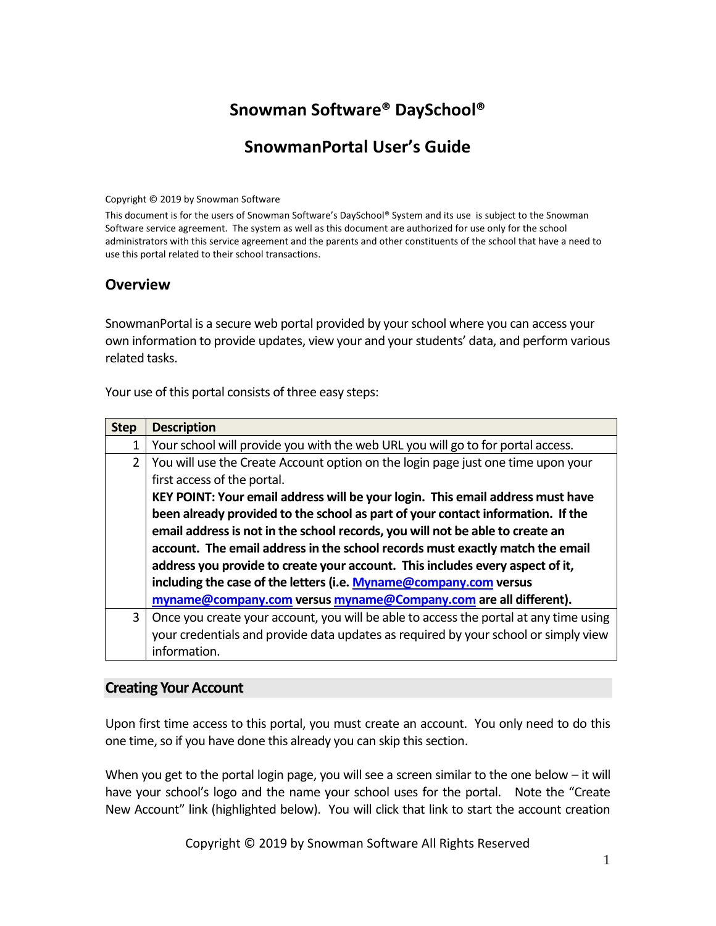## **Snowman Software® DaySchool®**

## **SnowmanPortal User's Guide**

Copyright © 2019 by Snowman Software

This document is for the users of Snowman Software's DaySchool® System and its use is subject to the Snowman Software service agreement. The system as well as this document are authorized for use only for the school administrators with this service agreement and the parents and other constituents of the school that have a need to use this portal related to their school transactions.

## **Overview**

SnowmanPortal is a secure web portal provided by yourschool where you can access your own information to provide updates, view your and your students' data, and perform various related tasks.

Your use of this portal consists of three easy steps:

| <b>Step</b> | <b>Description</b>                                                                    |  |  |  |  |
|-------------|---------------------------------------------------------------------------------------|--|--|--|--|
| 1           | Your school will provide you with the web URL you will go to for portal access.       |  |  |  |  |
| 2           | You will use the Create Account option on the login page just one time upon your      |  |  |  |  |
|             | first access of the portal.                                                           |  |  |  |  |
|             | KEY POINT: Your email address will be your login. This email address must have        |  |  |  |  |
|             | been already provided to the school as part of your contact information. If the       |  |  |  |  |
|             | email address is not in the school records, you will not be able to create an         |  |  |  |  |
|             | account. The email address in the school records must exactly match the email         |  |  |  |  |
|             | address you provide to create your account. This includes every aspect of it,         |  |  |  |  |
|             | including the case of the letters (i.e. Myname@company.com versus                     |  |  |  |  |
|             | myname@company.com versus myname@Company.com are all different).                      |  |  |  |  |
| 3           | Once you create your account, you will be able to access the portal at any time using |  |  |  |  |
|             | your credentials and provide data updates as required by your school or simply view   |  |  |  |  |
|             | information.                                                                          |  |  |  |  |

## **Creating Your Account**

Upon first time access to this portal, you must create an account. You only need to do this one time, so if you have done this already you can skip this section.

When you get to the portal login page, you will see a screen similar to the one below – it will have your school's logo and the name your school uses for the portal. Note the "Create New Account" link (highlighted below). You will click that link to start the account creation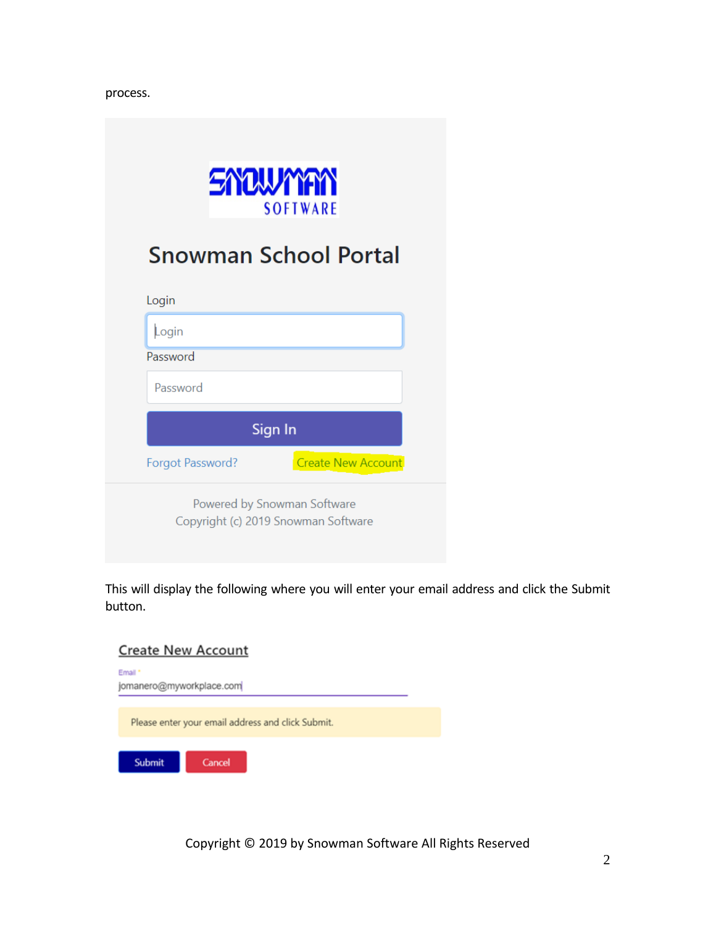process.

|                  | <b>SNOWMAN</b><br><b>SOFTWARE</b>                                  |
|------------------|--------------------------------------------------------------------|
|                  | <b>Snowman School Portal</b>                                       |
| Login            |                                                                    |
| Login            |                                                                    |
| Password         |                                                                    |
| Password         |                                                                    |
|                  | Sign In                                                            |
| Forgot Password? | <b>Create New Account</b>                                          |
|                  | Powered by Snowman Software<br>Copyright (c) 2019 Snowman Software |

This will display the following where you will enter your email address and click the Submit button.

| <b>Create New Account</b>           |        |                                                   |  |
|-------------------------------------|--------|---------------------------------------------------|--|
| Email *<br>jomanero@myworkplace.com |        |                                                   |  |
|                                     |        | Please enter your email address and click Submit. |  |
| Submit                              | Cancel |                                                   |  |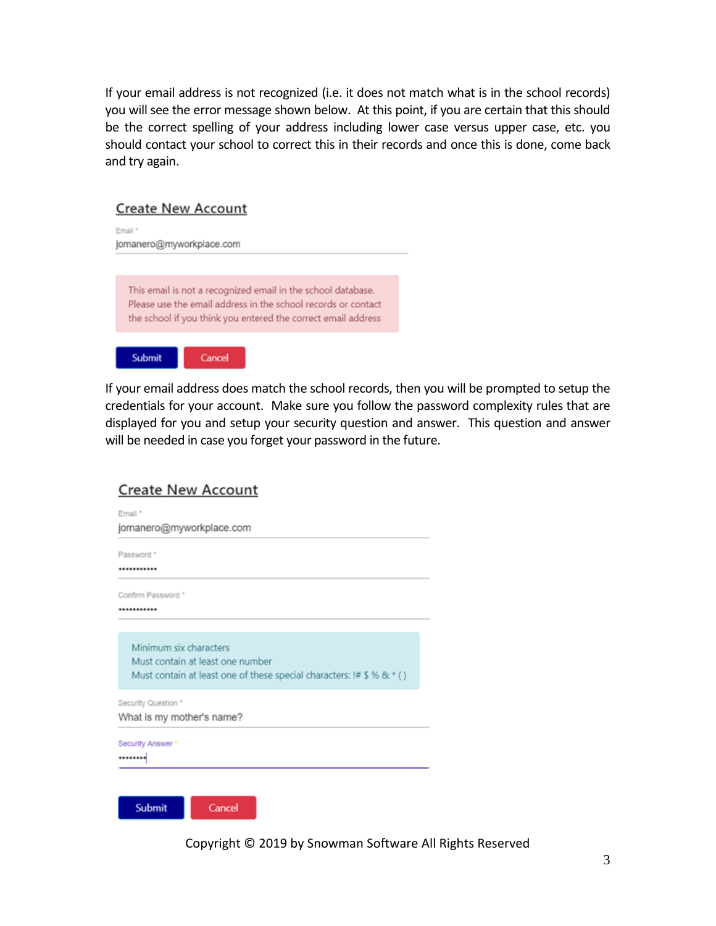If your email address is not recognized (i.e. it does not match what is in the school records) you will see the error message shown below. At this point, if you are certain that this should be the correct spelling of your address including lower case versus upper case, etc. you should contact your school to correct this in their records and once this is done, come back and try again.

#### **Create New Account**

Fmail 1 jomanero@myworkplace.com

This email is not a recognized email in the school database. Please use the email address in the school records or contact the school if you think you entered the correct email address



If your email address does match the school records, then you will be prompted to setup the credentials for your account. Make sure you follow the password complexity rules that are displayed for you and setup your security question and answer. This question and answer will be needed in case you forget your password in the future.

## **Create New Account**

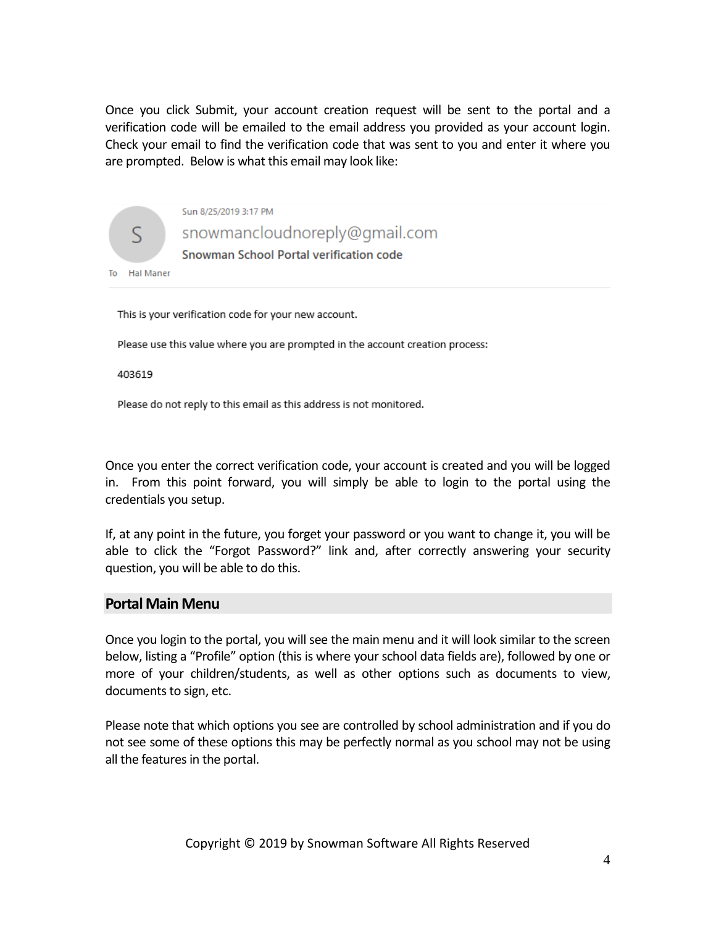Once you click Submit, your account creation request will be sent to the portal and a verification code will be emailed to the email address you provided as your account login. Check your email to find the verification code that was sent to you and enter it where you are prompted. Below is what this email may look like:



This is your verification code for your new account.

Please use this value where you are prompted in the account creation process:

403619

Please do not reply to this email as this address is not monitored.

Once you enter the correct verification code, your account is created and you will be logged in. From this point forward, you will simply be able to login to the portal using the credentials you setup.

If, at any point in the future, you forget your password or you want to change it, you will be able to click the "Forgot Password?" link and, after correctly answering your security question, you will be able to do this.

#### **Portal Main Menu**

Once you login to the portal, you will see the main menu and it will look similar to the screen below, listing a "Profile" option (this is where your school data fields are), followed by one or more of your children/students, as well as other options such as documents to view, documents to sign, etc.

Please note that which options you see are controlled by school administration and if you do not see some of these options this may be perfectly normal as you school may not be using all the features in the portal.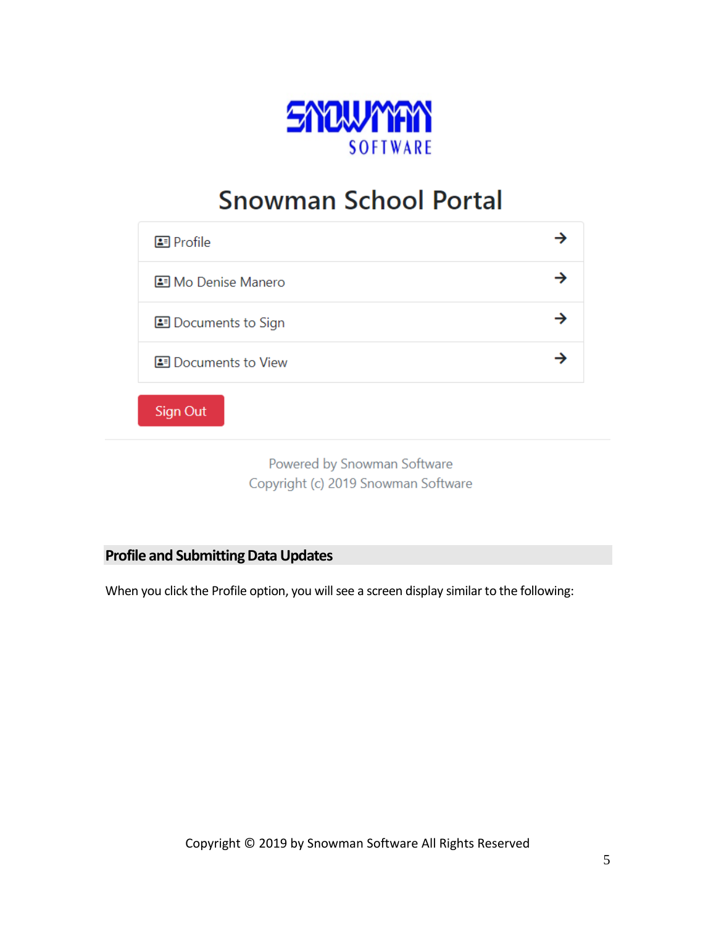

# **Snowman School Portal**

| 国 Mo Denise Manero         |  |
|----------------------------|--|
| 图 Documents to Sign        |  |
| <b>■</b> Documents to View |  |

Sign Out

Powered by Snowman Software Copyright (c) 2019 Snowman Software

## **Profile and Submitting Data Updates**

When you click the Profile option, you will see a screen display similar to the following: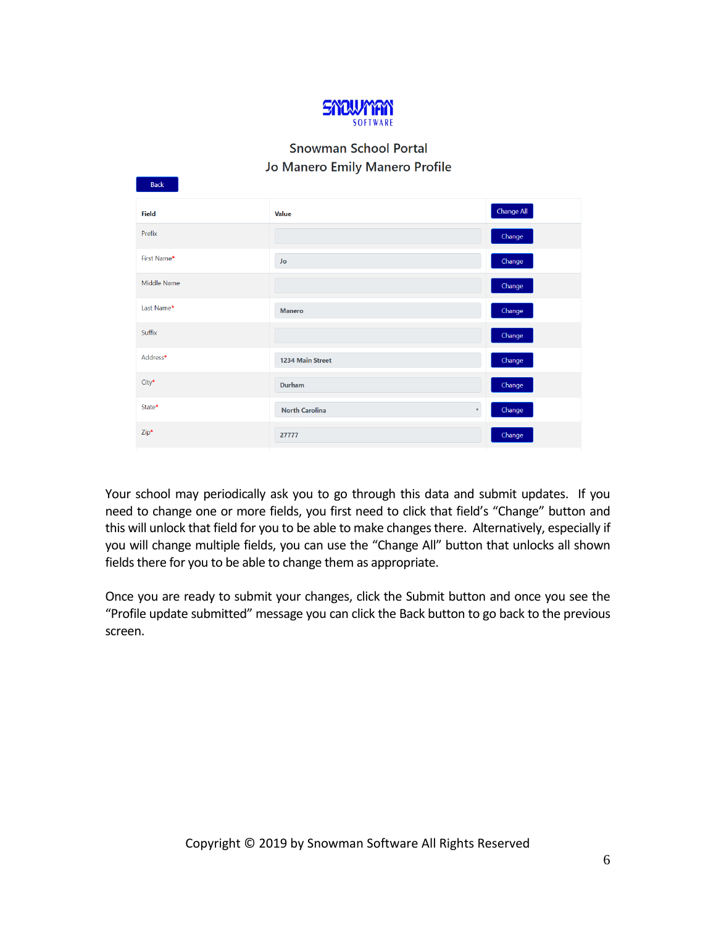

## **Snowman School Portal** Jo Manero Emily Manero Profile

Back

| Field       | Value                                            | Change All |
|-------------|--------------------------------------------------|------------|
| Prefix      |                                                  | Change     |
| First Name* | Jo                                               | Change     |
| Middle Name |                                                  | Change     |
| Last Name*  | <b>Manero</b>                                    | Change     |
| Suffix      |                                                  | Change     |
| Address*    | <b>1234 Main Street</b>                          | Change     |
| City*       | <b>Durham</b>                                    | Change     |
| State*      | <b>North Carolina</b><br>$\overline{\mathbf{v}}$ | Change     |
| Zip*        | 27777                                            | Change     |
|             |                                                  |            |

Your school may periodically ask you to go through this data and submit updates. If you need to change one or more fields, you first need to click that field's "Change" button and this will unlock that field for you to be able to make changes there. Alternatively, especially if you will change multiple fields, you can use the "Change All" button that unlocks all shown fields there for you to be able to change them as appropriate.

Once you are ready to submit your changes, click the Submit button and once you see the "Profile update submitted" message you can click the Back button to go back to the previous screen.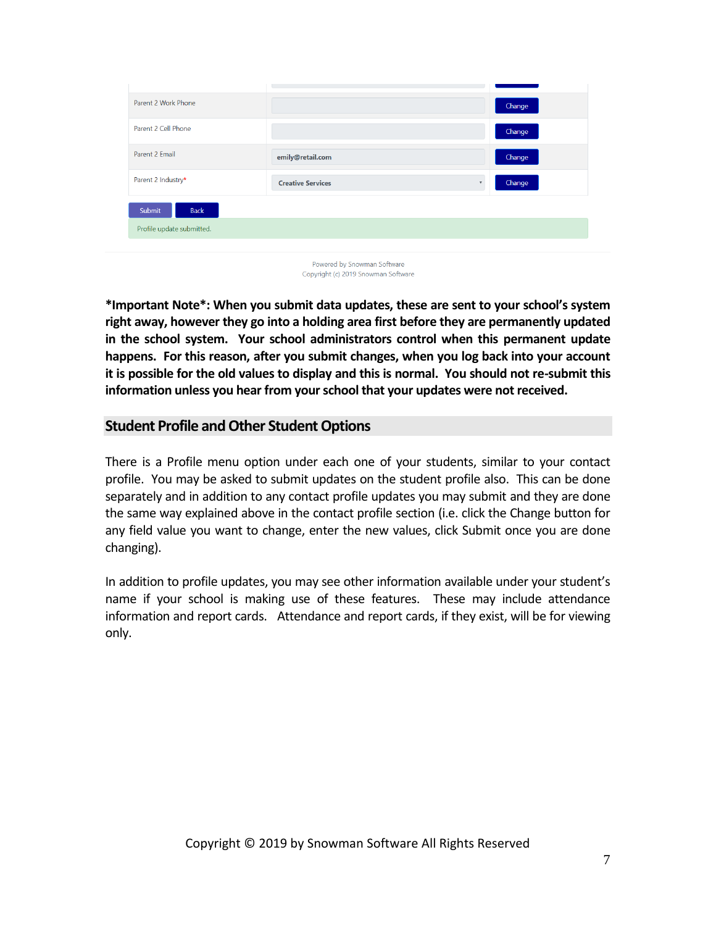| Parent 2 Work Phone                                |                          | Change                            |  |
|----------------------------------------------------|--------------------------|-----------------------------------|--|
| Parent 2 Cell Phone                                |                          | Change                            |  |
| Parent 2 Email                                     | emily@retail.com         | Change                            |  |
| Parent 2 Industry*                                 | <b>Creative Services</b> | Change<br>$\overline{\mathbf{v}}$ |  |
|                                                    |                          |                                   |  |
| Submit<br><b>Back</b><br>Profile update submitted. |                          |                                   |  |
|                                                    |                          |                                   |  |



**\*Important Note\*: When you submit data updates, these are sent to your school's system right away, however they go into a holding area first before they are permanently updated in the school system. Your school administrators control when this permanent update happens. For this reason, after you submit changes, when you log back into your account it is possible for the old values to display and this is normal. You should not re-submit this information unless you hear from your school that your updates were not received.**

## **Student Profile and Other Student Options**

There is a Profile menu option under each one of your students, similar to your contact profile. You may be asked to submit updates on the student profile also. This can be done separately and in addition to any contact profile updates you may submit and they are done the same way explained above in the contact profile section (i.e. click the Change button for any field value you want to change, enter the new values, click Submit once you are done changing).

In addition to profile updates, you may see other information available under your student's name if your school is making use of these features. These may include attendance information and report cards. Attendance and report cards, if they exist, will be for viewing only.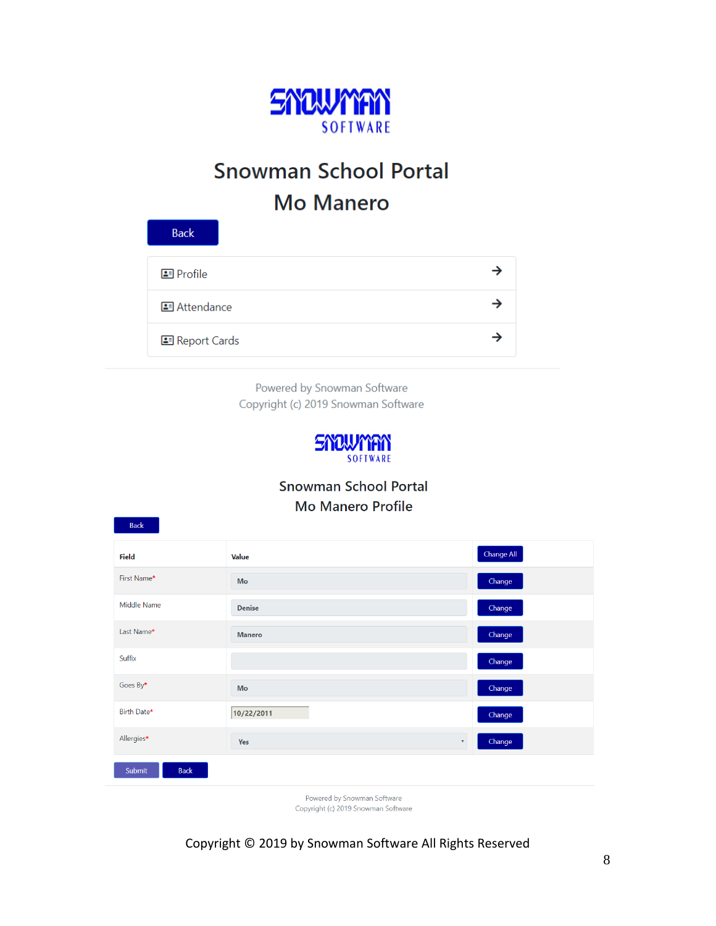

# **Snowman School Portal Mo Manero**

| <b>Back</b>           |  |
|-----------------------|--|
| <b>图 Profile</b>      |  |
| 图 Attendance          |  |
| <b>B</b> Report Cards |  |

Powered by Snowman Software Copyright (c) 2019 Snowman Software



**Snowman School Portal Mo Manero Profile** 

| Back                  |                             |                                     |
|-----------------------|-----------------------------|-------------------------------------|
| <b>Field</b>          | Value                       | Change All                          |
| First Name*           | Mo                          | Change                              |
| Middle Name           | <b>Denise</b>               | Change                              |
| Last Name*            | <b>Manero</b>               | Change                              |
| Suffix                |                             | Change                              |
| Goes By*              | Mo                          | Change                              |
| Birth Date*           | 10/22/2011                  | Change                              |
| Allergies*            | Yes                         | Change<br>$\boldsymbol{\mathrm{v}}$ |
| Submit<br><b>Back</b> |                             |                                     |
|                       | Powered by Snowman Software |                                     |

Copyright (c) 2019 Snowman Software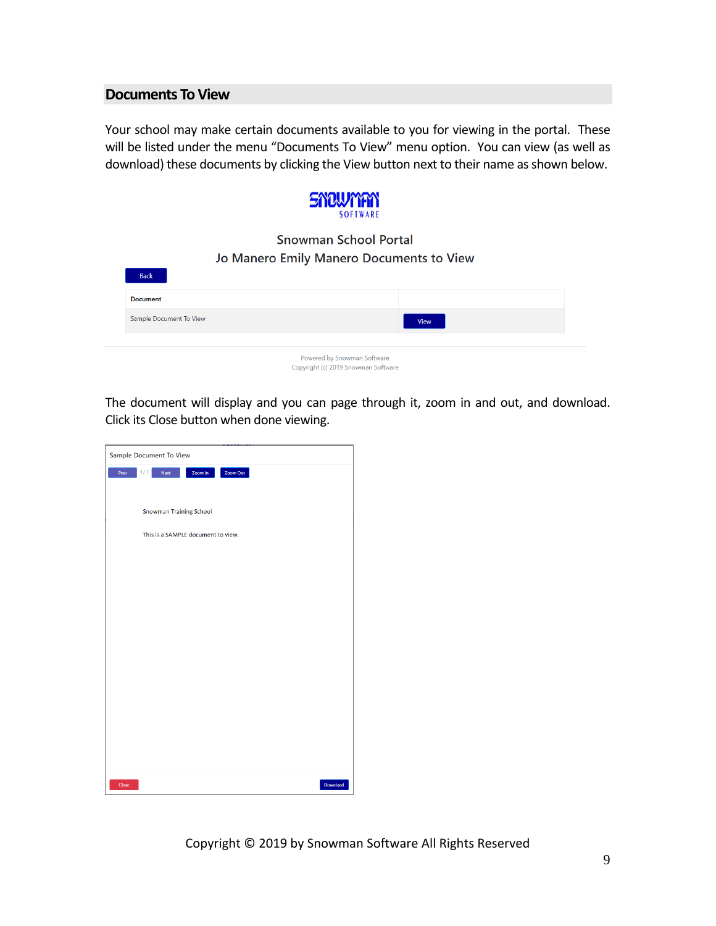#### **Documents To View**

Your school may make certain documents available to you for viewing in the portal. These will be listed under the menu "Documents To View" menu option. You can view (as well as download) these documents by clicking the View button next to their name as shown below.



## **Snowman School Portal** Jo Manero Emily Manero Documents to View

| <b>Document</b>         |             |
|-------------------------|-------------|
| Sample Document To View | <b>View</b> |
|                         |             |

The document will display and you can page through it, zoom in and out, and download. Click its Close button when done viewing.

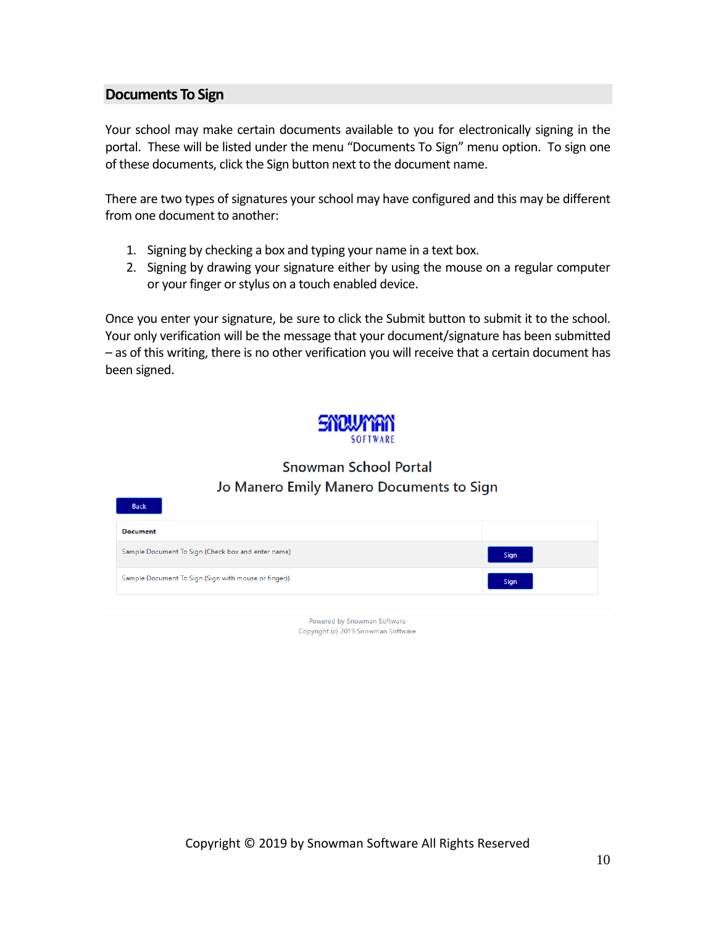### **Documents To Sign**

Your school may make certain documents available to you for electronically signing in the portal. These will be listed under the menu "Documents To Sign" menu option. To sign one of these documents, click the Sign button next to the document name.

There are two types of signatures your school may have configured and this may be different from one document to another:

- 1. Signing by checking a box and typing your name in a text box.
- 2. Signing by drawing your signature either by using the mouse on a regular computer or your finger or stylus on a touch enabled device.

Once you enter your signature, be sure to click the Submit button to submit it to the school. Your only verification will be the message that your document/signature has been submitted – as of this writing, there is no other verification you will receive that a certain document has been signed.



## **Snowman School Portal** Jo Manero Emily Manero Documents to Sign

| <b>Back</b>                                          |      |
|------------------------------------------------------|------|
| <b>Document</b>                                      |      |
| Sample Document To Sign (Check box and enter name)   | Sign |
| Sample Document To Sign (Sign with mouse or finger)) | Sign |

Powered by Snowman Software Copyright (c) 2019 Snowman Software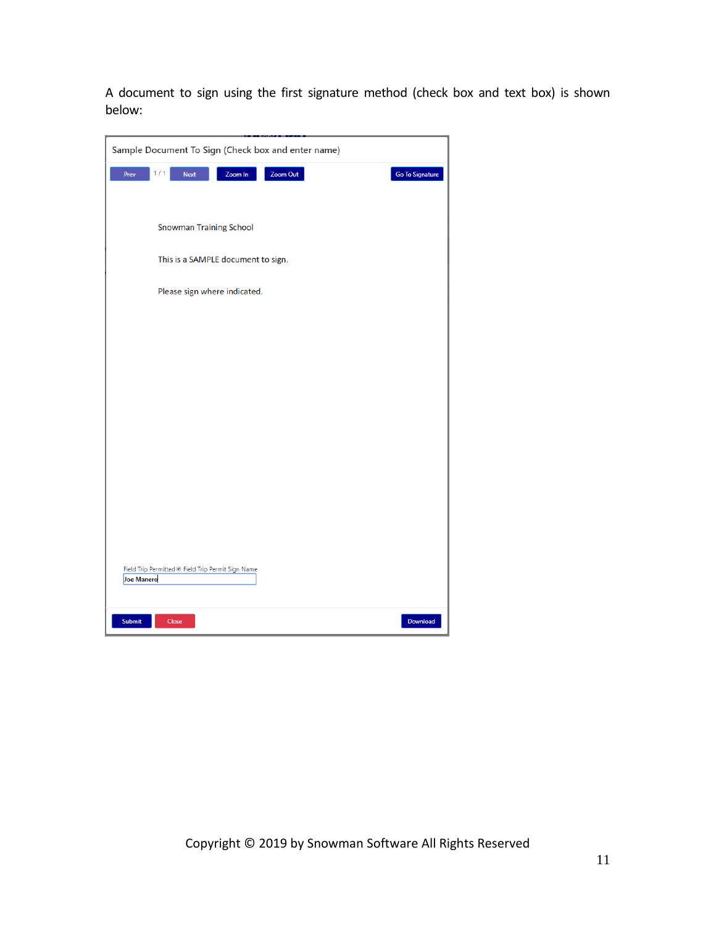A document to sign using the first signature method (check box and text box) is shown below:

| Sample Document To Sign (Check box and enter name)                   |
|----------------------------------------------------------------------|
| 1/1<br>Zoom Out<br>Prev<br><b>Next</b><br>Zoom In<br>Go To Signature |
| <b>Snowman Training School</b>                                       |
| This is a SAMPLE document to sign.                                   |
| Please sign where indicated.                                         |
|                                                                      |
|                                                                      |
|                                                                      |
|                                                                      |
|                                                                      |
|                                                                      |
|                                                                      |
| Field Trip Permitted @ Field Trip Permit Sign Name                   |
| Joe Manero                                                           |
| Submit<br>Close<br>Download                                          |